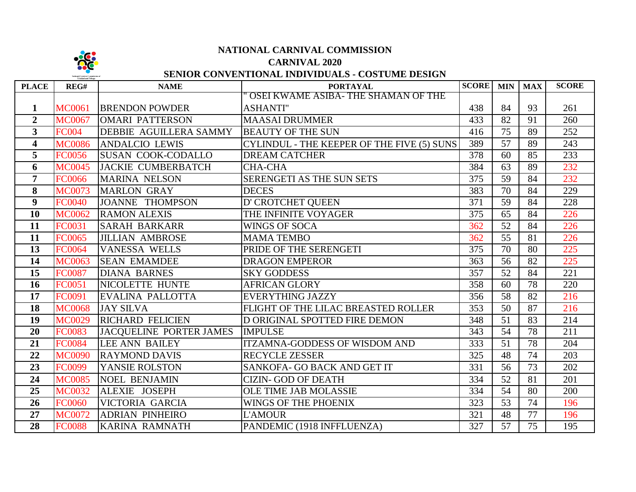

# **NATIONAL CARNIVAL COMMISSION**

# **CARNIVAL 2020**

# **SENIOR CONVENTIONAL INDIVIDUALS - COSTUME DESIGN**

**TOTAL** 

**FINAL** 

| <b>PLACE</b>            | REG#          | <b>NAME</b>               | <b>PORTAYAL</b>                            | <b>SCORE</b> MIN   MAX |                 |    | <b>SCORE</b> |
|-------------------------|---------------|---------------------------|--------------------------------------------|------------------------|-----------------|----|--------------|
|                         |               |                           | OSEI KWAME ASIBA- THE SHAMAN OF THE        |                        |                 |    |              |
| 1                       | <b>MC0061</b> | <b>BRENDON POWDER</b>     | <b>ASHANTI"</b>                            | 438                    | 84              | 93 | 261          |
| $\overline{2}$          | <b>MC0067</b> | <b>OMARI PATTERSON</b>    | <b>MAASAI DRUMMER</b>                      | 433                    | 82              | 91 | 260          |
| $\overline{3}$          | <b>FC004</b>  | DEBBIE AGUILLERA SAMMY    | <b>BEAUTY OF THE SUN</b>                   | 416                    | 75              | 89 | 252          |
| $\overline{\mathbf{4}}$ | <b>MC0086</b> | <b>ANDALCIO LEWIS</b>     | CYLINDUL - THE KEEPER OF THE FIVE (5) SUNS | 389                    | 57              | 89 | 243          |
| 5                       | <b>FC0056</b> | <b>SUSAN COOK-CODALLO</b> | <b>DREAM CATCHER</b>                       | 378                    | 60              | 85 | 233          |
| 6                       | <b>MC0045</b> | JACKIE CUMBERBATCH        | <b>CHA-CHA</b>                             | 384                    | 63              | 89 | 232          |
| $\overline{7}$          | <b>FC0066</b> | <b>MARINA NELSON</b>      | SERENGETI AS THE SUN SETS                  | 375                    | 59              | 84 | 232          |
| 8                       | <b>MC0073</b> | <b>MARLON GRAY</b>        | <b>DECES</b>                               | 383                    | 70              | 84 | 229          |
| 9                       | <b>FC0040</b> | <b>JOANNE THOMPSON</b>    | D' CROTCHET QUEEN                          | 371                    | 59              | 84 | 228          |
| 10                      | <b>MC0062</b> | <b>RAMON ALEXIS</b>       | THE INFINITE VOYAGER                       | 375                    | 65              | 84 | 226          |
| 11                      | FC0031        | <b>SARAH BARKARR</b>      | <b>WINGS OF SOCA</b>                       | 362                    | 52              | 84 | 226          |
| 11                      | FC0065        | <b>JILLIAN AMBROSE</b>    | <b>MAMA TEMBO</b>                          | 362                    | 55              | 81 | 226          |
| 13                      | FC0064        | <b>VANESSA WELLS</b>      | PRIDE OF THE SERENGETI                     | 375                    | 70              | 80 | 225          |
| 14                      | <b>MC0063</b> | <b>SEAN EMAMDEE</b>       | <b>DRAGON EMPEROR</b>                      | 363                    | 56              | 82 | 225          |
| 15                      | <b>FC0087</b> | <b>DIANA BARNES</b>       | <b>SKY GODDESS</b>                         | 357                    | 52              | 84 | 221          |
| 16                      | FC0051        | NICOLETTE HUNTE           | <b>AFRICAN GLORY</b>                       | 358                    | 60              | 78 | 220          |
| 17                      | FC0091        | EVALINA PALLOTTA          | <b>EVERYTHING JAZZY</b>                    | 356                    | 58              | 82 | 216          |
| 18                      | <b>MC0068</b> | <b>JAY SILVA</b>          | FLIGHT OF THE LILAC BREASTED ROLLER        | 353                    | 50              | 87 | 216          |
| 19                      | <b>MC0029</b> | <b>RICHARD FELICIEN</b>   | D ORIGINAL SPOTTED FIRE DEMON              | 348                    | 51              | 83 | 214          |
| 20                      | <b>FC0083</b> | JACQUELINE PORTER JAMES   | <b>IMPULSE</b>                             | 343                    | 54              | 78 | 211          |
| 21                      | <b>FC0084</b> | <b>LEE ANN BAILEY</b>     | <b>ITZAMNA-GODDESS OF WISDOM AND</b>       | 333                    | 51              | 78 | 204          |
| 22                      | <b>MC0090</b> | <b>RAYMOND DAVIS</b>      | <b>RECYCLE ZESSER</b>                      | 325                    | 48              | 74 | 203          |
| 23                      | FC0099        | YANSIE ROLSTON            | SANKOFA- GO BACK AND GET IT                | 331                    | 56              | 73 | 202          |
| 24                      | <b>MC0085</b> | <b>NOEL BENJAMIN</b>      | <b>CIZIN- GOD OF DEATH</b>                 | 334                    | 52              | 81 | 201          |
| 25                      | <b>MC0032</b> | <b>ALEXIE JOSEPH</b>      | OLE TIME JAB MOLASSIE                      | 334                    | $\overline{54}$ | 80 | 200          |
| 26                      | <b>FC0060</b> | VICTORIA GARCIA           | WINGS OF THE PHOENIX                       | 323                    | 53              | 74 | 196          |
| 27                      | <b>MC0072</b> | <b>ADRIAN PINHEIRO</b>    | <b>L'AMOUR</b>                             | 321                    | 48              | 77 | 196          |
| $\overline{28}$         | <b>FC0088</b> | <b>KARINA RAMNATH</b>     | PANDEMIC (1918 INFFLUENZA)                 | 327                    | $\overline{57}$ | 75 | 195          |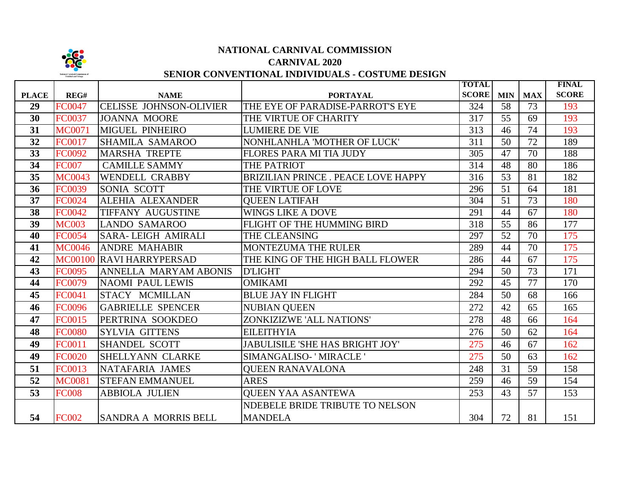

## **NATIONAL CARNIVAL COMMISSION CARNIVAL 2020**

# **SENIOR CONVENTIONAL INDIVIDUALS - COSTUME DESIGN**

|              |                |                                |                                           | <b>TOTAL</b> |                 |            | <b>FINAL</b> |
|--------------|----------------|--------------------------------|-------------------------------------------|--------------|-----------------|------------|--------------|
| <b>PLACE</b> | REG#           | <b>NAME</b>                    | <b>PORTAYAL</b>                           | <b>SCORE</b> | <b>MIN</b>      | <b>MAX</b> | <b>SCORE</b> |
| 29           | <b>FC0047</b>  | <b>CELISSE JOHNSON-OLIVIER</b> | THE EYE OF PARADISE-PARROT'S EYE          | 324          | 58              | 73         | 193          |
| 30           | <b>FC0037</b>  | <b>JOANNA MOORE</b>            | THE VIRTUE OF CHARITY                     | 317          | 55              | 69         | 193          |
| 31           | <b>MC0071</b>  | <b>MIGUEL PINHEIRO</b>         | <b>LUMIERE DE VIE</b>                     | 313          | 46              | 74         | 193          |
| 32           | <b>FC0017</b>  | <b>SHAMILA SAMAROO</b>         | NONHLANHLA 'MOTHER OF LUCK'               | 311          | 50              | 72         | 189          |
| 33           | <b>FC0092</b>  | <b>MARSHA TREPTE</b>           | FLORES PARA MI TIA JUDY                   | 305          | 47              | 70         | 188          |
| 34           | <b>FC007</b>   | <b>CAMILLE SAMMY</b>           | THE PATRIOT                               | 314          | 48              | 80         | 186          |
| 35           | <b>MC0043</b>  | <b>WENDELL CRABBY</b>          | <b>BRIZILIAN PRINCE. PEACE LOVE HAPPY</b> | 316          | $\overline{53}$ | 81         | 182          |
| 36           | <b>FC0039</b>  | SONIA SCOTT                    | THE VIRTUE OF LOVE                        | 296          | 51              | 64         | 181          |
| 37           | <b>FC0024</b>  | <b>ALEHIA ALEXANDER</b>        | <b>QUEEN LATIFAH</b>                      | 304          | 51              | 73         | 180          |
| 38           | <b>FC0042</b>  | TIFFANY AUGUSTINE              | <b>WINGS LIKE A DOVE</b>                  | 291          | 44              | 67         | 180          |
| 39           | <b>MC003</b>   | <b>LANDO SAMAROO</b>           | FLIGHT OF THE HUMMING BIRD                | 318          | 55              | 86         | 177          |
| 40           | <b>FC0054</b>  | <b>SARA-LEIGH AMIRALI</b>      | THE CLEANSING                             | 297          | 52              | 70         | 175          |
| 41           | <b>MC0046</b>  | <b>ANDRE MAHABIR</b>           | MONTEZUMA THE RULER                       | 289          | 44              | 70         | 175          |
| 42           | <b>MC00100</b> | <b>RAVI HARRYPERSAD</b>        | THE KING OF THE HIGH BALL FLOWER          | 286          | 44              | 67         | 175          |
| 43           | <b>FC0095</b>  | <b>ANNELLA MARYAM ABONIS</b>   | <b>D'LIGHT</b>                            | 294          | 50              | 73         | 171          |
| 44           | <b>FC0079</b>  | <b>NAOMI PAUL LEWIS</b>        | <b>OMIKAMI</b>                            | 292          | 45              | 77         | 170          |
| 45           | FC0041         | STACY MCMILLAN                 | <b>BLUE JAY IN FLIGHT</b>                 | 284          | 50              | 68         | 166          |
| 46           | <b>FC0096</b>  | <b>GABRIELLE SPENCER</b>       | <b>NUBIAN QUEEN</b>                       | 272          | 42              | 65         | 165          |
| 47           | <b>FC0015</b>  | PERTRINA SOOKDEO               | ZONKIZIZWE 'ALL NATIONS'                  | 278          | 48              | 66         | 164          |
| 48           | <b>FC0080</b>  | <b>SYLVIA GITTENS</b>          | <b>EILEITHYIA</b>                         | 276          | 50              | 62         | 164          |
| 49           | FC0011         | <b>SHANDEL SCOTT</b>           | <b>JABULISILE 'SHE HAS BRIGHT JOY'</b>    | 275          | 46              | 67         | 162          |
| 49           | <b>FC0020</b>  | SHELLYANN CLARKE               | SIMANGALISO-'MIRACLE'                     | 275          | 50              | 63         | 162          |
| 51           | <b>FC0013</b>  | NATAFARIA JAMES                | <b>OUEEN RANAVALONA</b>                   | 248          | 31              | 59         | 158          |
| 52           | <b>MC0081</b>  | <b>STEFAN EMMANUEL</b>         | <b>ARES</b>                               | 259          | 46              | 59         | 154          |
| 53           | <b>FC008</b>   | <b>ABBIOLA JULIEN</b>          | <b>QUEEN YAA ASANTEWA</b>                 | 253          | 43              | 57         | 153          |
|              |                |                                | NDEBELE BRIDE TRIBUTE TO NELSON           |              |                 |            |              |
| 54           | <b>FC002</b>   | <b>SANDRA A MORRIS BELL</b>    | <b>MANDELA</b>                            | 304          | 72              | 81         | 151          |